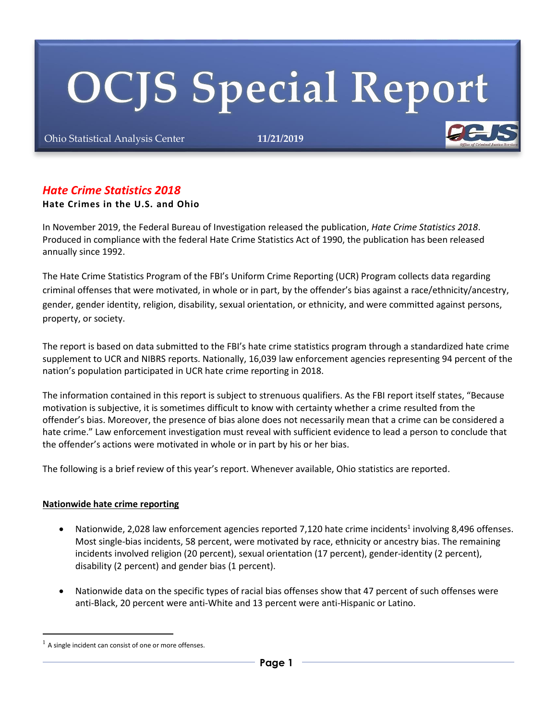# **OCJS Special Report**

Ohio Statistical Analysis Center **11/21/2019**



### **Hate Crimes in the U.S. and Ohio**

In November 2019, the Federal Bureau of Investigation released the publication, *Hate Crime Statistics 2018*. Produced in compliance with the federal Hate Crime Statistics Act of 1990, the publication has been released annually since 1992.

The Hate Crime Statistics Program of the FBI's Uniform Crime Reporting (UCR) Program collects data regarding criminal offenses that were motivated, in whole or in part, by the offender's bias against a race/ethnicity/ancestry, gender, gender identity, religion, disability, sexual orientation, or ethnicity, and were committed against persons, property, or society.

The report is based on data submitted to the FBI's hate crime statistics program through a standardized hate crime supplement to UCR and NIBRS reports. Nationally, 16,039 law enforcement agencies representing 94 percent of the nation's population participated in UCR hate crime reporting in 2018.

The information contained in this report is subject to strenuous qualifiers. As the FBI report itself states, "Because motivation is subjective, it is sometimes difficult to know with certainty whether a crime resulted from the offender's bias. Moreover, the presence of bias alone does not necessarily mean that a crime can be considered a hate crime." Law enforcement investigation must reveal with sufficient evidence to lead a person to conclude that the offender's actions were motivated in whole or in part by his or her bias.

The following is a brief review of this year's report. Whenever available, Ohio statistics are reported.

#### **Nationwide hate crime reporting**

- Nationwide, 2,028 law enforcement agencies reported 7,120 hate crime incidents<sup>1</sup> involving 8,496 offenses. Most single-bias incidents, 58 percent, were motivated by race, ethnicity or ancestry bias. The remaining incidents involved religion (20 percent), sexual orientation (17 percent), gender-identity (2 percent), disability (2 percent) and gender bias (1 percent).
- Nationwide data on the specific types of racial bias offenses show that 47 percent of such offenses were anti-Black, 20 percent were anti-White and 13 percent were anti-Hispanic or Latino.

 $<sup>1</sup>$  A single incident can consist of one or more offenses.</sup>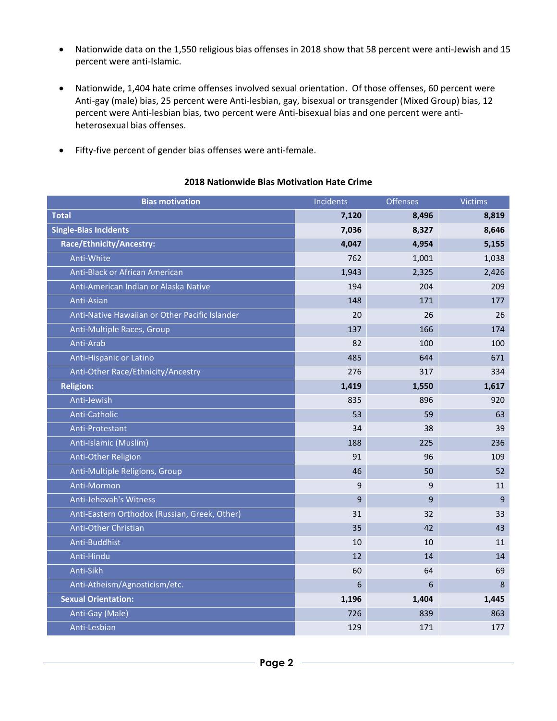- Nationwide data on the 1,550 religious bias offenses in 2018 show that 58 percent were anti-Jewish and 15 percent were anti-Islamic.
- Nationwide, 1,404 hate crime offenses involved sexual orientation. Of those offenses, 60 percent were Anti-gay (male) bias, 25 percent were Anti-lesbian, gay, bisexual or transgender (Mixed Group) bias, 12 percent were Anti-lesbian bias, two percent were Anti-bisexual bias and one percent were antiheterosexual bias offenses.
- Fifty-five percent of gender bias offenses were anti-female.

# **2018 Nationwide Bias Motivation Hate Crime**

| <b>Bias motivation</b>                         | Incidents | <b>Offenses</b> | <b>Victims</b> |
|------------------------------------------------|-----------|-----------------|----------------|
| <b>Total</b>                                   | 7,120     | 8,496           | 8,819          |
| <b>Single-Bias Incidents</b>                   | 7,036     | 8,327           | 8,646          |
| Race/Ethnicity/Ancestry:                       | 4,047     | 4,954           | 5,155          |
| Anti-White                                     | 762       | 1,001           | 1,038          |
| Anti-Black or African American                 | 1,943     | 2,325           | 2,426          |
| Anti-American Indian or Alaska Native          | 194       | 204             | 209            |
| Anti-Asian                                     | 148       | 171             | 177            |
| Anti-Native Hawaiian or Other Pacific Islander | 20        | 26              | 26             |
| Anti-Multiple Races, Group                     | 137       | 166             | 174            |
| Anti-Arab                                      | 82        | 100             | 100            |
| Anti-Hispanic or Latino                        | 485       | 644             | 671            |
| Anti-Other Race/Ethnicity/Ancestry             | 276       | 317             | 334            |
| <b>Religion:</b>                               | 1,419     | 1,550           | 1,617          |
| Anti-Jewish                                    | 835       | 896             | 920            |
| Anti-Catholic                                  | 53        | 59              | 63             |
| Anti-Protestant                                | 34        | 38              | 39             |
| Anti-Islamic (Muslim)                          | 188       | 225             | 236            |
| Anti-Other Religion                            | 91        | 96              | 109            |
| Anti-Multiple Religions, Group                 | 46        | 50              | 52             |
| Anti-Mormon                                    | 9         | 9               | 11             |
| Anti-Jehovah's Witness                         | 9         | 9               | $\overline{9}$ |
| Anti-Eastern Orthodox (Russian, Greek, Other)  | 31        | 32              | 33             |
| <b>Anti-Other Christian</b>                    | 35        | 42              | 43             |
| Anti-Buddhist                                  | 10        | 10              | 11             |
| Anti-Hindu                                     | 12        | 14              | 14             |
| Anti-Sikh                                      | 60        | 64              | 69             |
| Anti-Atheism/Agnosticism/etc.                  | 6         | 6               | 8              |
| <b>Sexual Orientation:</b>                     | 1,196     | 1,404           | 1,445          |
| Anti-Gay (Male)                                | 726       | 839             | 863            |
| Anti-Lesbian                                   | 129       | 171             | 177            |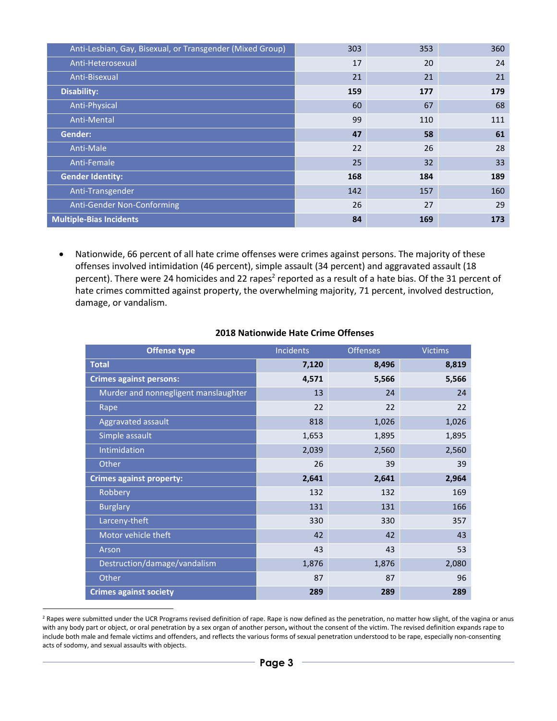| Anti-Lesbian, Gay, Bisexual, or Transgender (Mixed Group) | 303 | 353 | 360 |
|-----------------------------------------------------------|-----|-----|-----|
| Anti-Heterosexual                                         | 17  | 20  | 24  |
| Anti-Bisexual                                             | 21  | 21  | 21  |
| <b>Disability:</b>                                        | 159 | 177 | 179 |
| Anti-Physical                                             | 60  | 67  | 68  |
| Anti-Mental                                               | 99  | 110 | 111 |
| Gender:                                                   | 47  | 58  | 61  |
| Anti-Male                                                 | 22  | 26  | 28  |
| Anti-Female                                               | 25  | 32  | 33  |
| <b>Gender Identity:</b>                                   | 168 | 184 | 189 |
| Anti-Transgender                                          | 142 | 157 | 160 |
| Anti-Gender Non-Conforming                                | 26  | 27  | 29  |
| <b>Multiple-Bias Incidents</b>                            | 84  | 169 | 173 |

 Nationwide, 66 percent of all hate crime offenses were crimes against persons. The majority of these offenses involved intimidation (46 percent), simple assault (34 percent) and aggravated assault (18 percent). There were 24 homicides and 22 rapes<sup>2</sup> reported as a result of a hate bias. Of the 31 percent of hate crimes committed against property, the overwhelming majority, 71 percent, involved destruction, damage, or vandalism.

| <b>Offense type</b>                  | Incidents | <b>Offenses</b> | <b>Victims</b> |
|--------------------------------------|-----------|-----------------|----------------|
| <b>Total</b>                         | 7,120     | 8,496           | 8,819          |
| <b>Crimes against persons:</b>       | 4,571     | 5,566           | 5,566          |
| Murder and nonnegligent manslaughter | 13        | 24              | 24             |
| Rape                                 | 22        | 22              | 22             |
| Aggravated assault                   | 818       | 1,026           | 1,026          |
| Simple assault                       | 1,653     | 1,895           | 1,895          |
| Intimidation                         | 2,039     | 2,560           | 2,560          |
| Other                                | 26        | 39              | 39             |
| <b>Crimes against property:</b>      | 2,641     | 2,641           | 2,964          |
| Robbery                              | 132       | 132             | 169            |
| <b>Burglary</b>                      | 131       | 131             | 166            |
| Larceny-theft                        | 330       | 330             | 357            |
| Motor vehicle theft                  | 42        | 42              | 43             |
| Arson                                | 43        | 43              | 53             |
| Destruction/damage/vandalism         | 1,876     | 1,876           | 2,080          |
| Other                                | 87        | 87              | 96             |
| <b>Crimes against society</b>        | 289       | 289             | 289            |

#### **2018 Nationwide Hate Crime Offenses**

<sup>2</sup> Rapes were submitted under the UCR Programs revised definition of rape. Rape is now defined as the penetration, no matter how slight, of the vagina or anus with any body part or object, or oral penetration by a sex organ of another person**,** without the consent of the victim. The revised definition expands rape to include both male and female victims and offenders, and reflects the various forms of sexual penetration understood to be rape, especially non-consenting acts of sodomy, and sexual assaults with objects.

-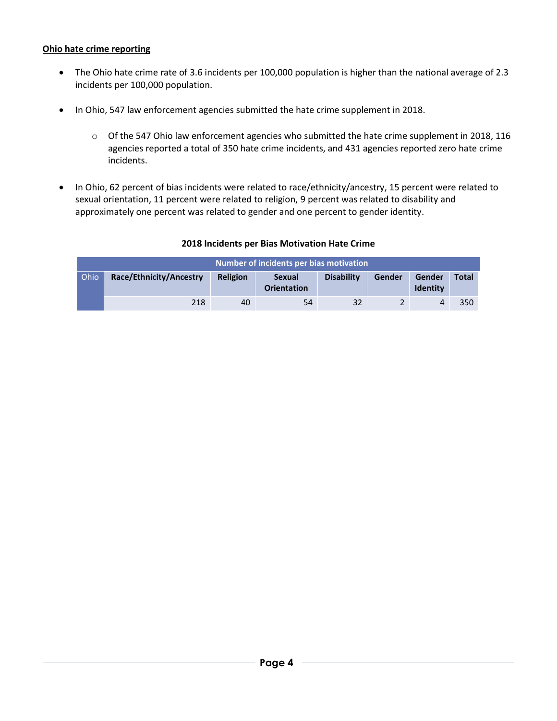# **Ohio hate crime reporting**

- The Ohio hate crime rate of 3.6 incidents per 100,000 population is higher than the national average of 2.3 incidents per 100,000 population.
- In Ohio, 547 law enforcement agencies submitted the hate crime supplement in 2018.
	- o Of the 547 Ohio law enforcement agencies who submitted the hate crime supplement in 2018, 116 agencies reported a total of 350 hate crime incidents, and 431 agencies reported zero hate crime incidents.
- In Ohio, 62 percent of bias incidents were related to race/ethnicity/ancestry, 15 percent were related to sexual orientation, 11 percent were related to religion, 9 percent was related to disability and approximately one percent was related to gender and one percent to gender identity.

| Number of incidents per bias motivation |                         |                 |                                     |                   |        |                           |              |
|-----------------------------------------|-------------------------|-----------------|-------------------------------------|-------------------|--------|---------------------------|--------------|
| Ohio                                    | Race/Ethnicity/Ancestry | <b>Religion</b> | <b>Sexual</b><br><b>Orientation</b> | <b>Disability</b> | Gender | Gender<br><b>Identity</b> | <b>Total</b> |
|                                         | 218                     | 40              | 54                                  | 32                |        |                           | 350          |

#### **2018 Incidents per Bias Motivation Hate Crime**